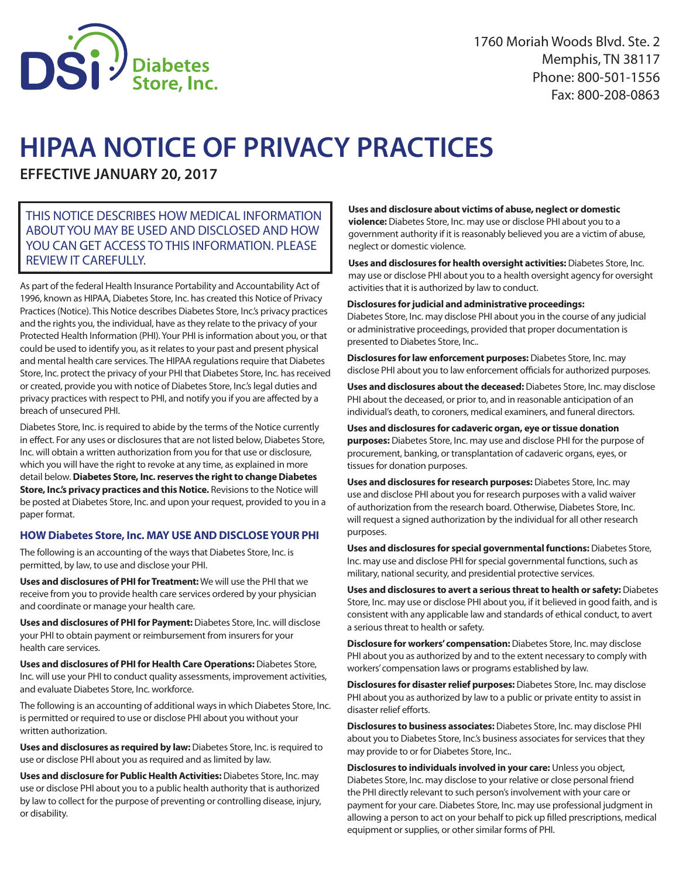

# **HIPAA NOTICE OF PRIVACY PRACTICES**

**EFFECTIVE JANUARY 20, 2017**

# THIS NOTICE DESCRIBES HOW MEDICAL INFORMATION ABOUT YOU MAY BE USED AND DISCLOSED AND HOW YOU CAN GET ACCESS TO THIS INFORMATION. PLEASE REVIEW IT CAREFULLY.

As part of the federal Health Insurance Portability and Accountability Act of 1996, known as HIPAA, Diabetes Store, Inc. has created this Notice of Privacy Practices (Notice). This Notice describes Diabetes Store, Inc.'s privacy practices and the rights you, the individual, have as they relate to the privacy of your Protected Health Information (PHI). Your PHI is information about you, or that could be used to identify you, as it relates to your past and present physical and mental health care services. The HIPAA regulations require that Diabetes Store, Inc. protect the privacy of your PHI that Diabetes Store, Inc. has received or created, provide you with notice of Diabetes Store, Inc.'s legal duties and privacy practices with respect to PHI, and notify you if you are affected by a breach of unsecured PHI.

Diabetes Store, Inc. is required to abide by the terms of the Notice currently in effect. For any uses or disclosures that are not listed below, Diabetes Store, Inc. will obtain a written authorization from you for that use or disclosure, which you will have the right to revoke at any time, as explained in more detail below. **Diabetes Store, Inc. reserves the right to change Diabetes Store, Inc.'s privacy practices and this Notice.** Revisions to the Notice will be posted at Diabetes Store, Inc. and upon your request, provided to you in a paper format.

## **HOW Diabetes Store, Inc. MAY USE AND DISCLOSE YOUR PHI**

The following is an accounting of the ways that Diabetes Store, Inc. is permitted, by law, to use and disclose your PHI.

**Uses and disclosures of PHI for Treatment:** We will use the PHI that we receive from you to provide health care services ordered by your physician and coordinate or manage your health care.

**Uses and disclosures of PHI for Payment:** Diabetes Store, Inc. will disclose your PHI to obtain payment or reimbursement from insurers for your health care services.

**Uses and disclosures of PHI for Health Care Operations:** Diabetes Store, Inc. will use your PHI to conduct quality assessments, improvement activities, and evaluate Diabetes Store, Inc. workforce.

The following is an accounting of additional ways in which Diabetes Store, Inc. is permitted or required to use or disclose PHI about you without your written authorization.

**Uses and disclosures as required by law:** Diabetes Store, Inc. is required to use or disclose PHI about you as required and as limited by law.

**Uses and disclosure for Public Health Activities:** Diabetes Store, Inc. may use or disclose PHI about you to a public health authority that is authorized by law to collect for the purpose of preventing or controlling disease, injury, or disability.

## **Uses and disclosure about victims of abuse, neglect or domestic**

**violence:** Diabetes Store, Inc. may use or disclose PHI about you to a government authority if it is reasonably believed you are a victim of abuse, neglect or domestic violence.

**Uses and disclosures for health oversight activities:** Diabetes Store, Inc. may use or disclose PHI about you to a health oversight agency for oversight activities that it is authorized by law to conduct.

#### **Disclosures for judicial and administrative proceedings:**

Diabetes Store, Inc. may disclose PHI about you in the course of any judicial or administrative proceedings, provided that proper documentation is presented to Diabetes Store, Inc..

**Disclosures for law enforcement purposes:** Diabetes Store, Inc. may disclose PHI about you to law enforcement officials for authorized purposes.

**Uses and disclosures about the deceased:** Diabetes Store, Inc. may disclose PHI about the deceased, or prior to, and in reasonable anticipation of an individual's death, to coroners, medical examiners, and funeral directors.

#### **Uses and disclosures for cadaveric organ, eye or tissue donation purposes:** Diabetes Store, Inc. may use and disclose PHI for the purpose of procurement, banking, or transplantation of cadaveric organs, eyes, or tissues for donation purposes.

**Uses and disclosures for research purposes:** Diabetes Store, Inc. may use and disclose PHI about you for research purposes with a valid waiver of authorization from the research board. Otherwise, Diabetes Store, Inc. will request a signed authorization by the individual for all other research purposes.

**Uses and disclosures for special governmental functions:** Diabetes Store, Inc. may use and disclose PHI for special governmental functions, such as military, national security, and presidential protective services.

**Uses and disclosures to avert a serious threat to health or safety:** Diabetes Store, Inc. may use or disclose PHI about you, if it believed in good faith, and is consistent with any applicable law and standards of ethical conduct, to avert a serious threat to health or safety.

**Disclosure for workers' compensation:** Diabetes Store, Inc. may disclose PHI about you as authorized by and to the extent necessary to comply with workers' compensation laws or programs established by law.

**Disclosures for disaster relief purposes:** Diabetes Store, Inc. may disclose PHI about you as authorized by law to a public or private entity to assist in disaster relief efforts.

**Disclosures to business associates:** Diabetes Store, Inc. may disclose PHI about you to Diabetes Store, Inc.'s business associates for services that they may provide to or for Diabetes Store, Inc..

**Disclosures to individuals involved in your care:** Unless you object, Diabetes Store, Inc. may disclose to your relative or close personal friend the PHI directly relevant to such person's involvement with your care or payment for your care. Diabetes Store, Inc. may use professional judgment in allowing a person to act on your behalf to pick up filled prescriptions, medical equipment or supplies, or other similar forms of PHI.